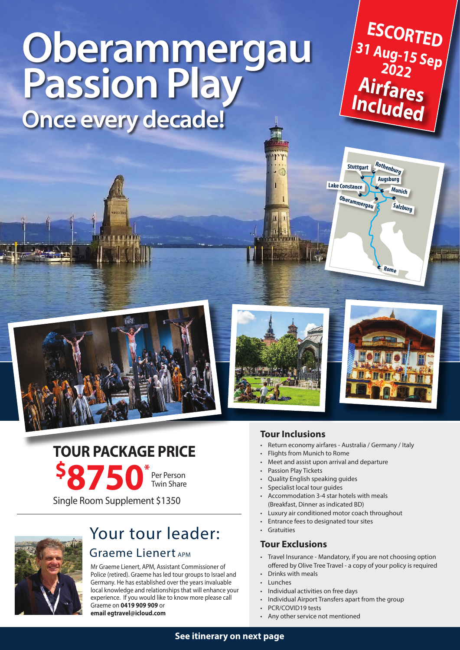# **Oberammergau Passion Play Once every decade!**

**31 Aug-15 Sep 2022 ESCORTED Airfares Included**







**Rome**

**Stuttgart Rothenburg**

**Salzburg Oberammergau**

**Lake Constance Munich**

**Augsburg**

**\$ 8750\*** Single Room Supplement \$1350 **TOUR PACKAGE PRICE** Per Person Twin Share



# Your tour leader: Graeme Lienert APM

Mr Graeme Lienert, APM, Assistant Commissioner of Police (retired). Graeme has led tour groups to Israel and Germany. He has established over the years invaluable local knowledge and relationships that will enhance your experience. If you would like to know more please call Graeme on **0419 909 909** or **email egtravel@icloud.com** 

## **Tour Inclusions**

- Return economy airfares Australia / Germany / Italy
- Flights from Munich to Rome
- Meet and assist upon arrival and departure
- Passion Play Tickets
- Quality English speaking guides
- Specialist local tour quides
- Accommodation 3-4 star hotels with meals (Breakfast, Dinner as indicated BD)
- Luxury air conditioned motor coach throughout
- Entrance fees to designated tour sites
- Gratuities

### **Tour Exclusions**

- Travel Insurance Mandatory, if you are not choosing option offered by Olive Tree Travel - a copy of your policy is required
- Drinks with meals
- Lunches
- Individual activities on free days
- Individual Airport Transfers apart from the group
- PCR/COVID19 tests
- Any other service not mentioned